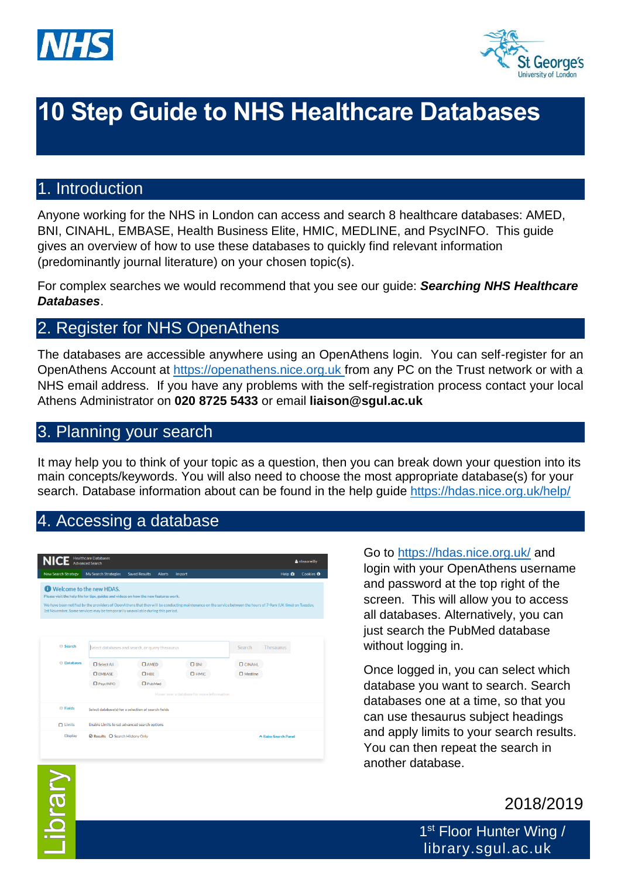



# **10 Step Guide to NHS Healthcare Databases**

### 1. Introduction

Anyone working for the NHS in London can access and search 8 healthcare databases: AMED, BNI, CINAHL, EMBASE, Health Business Elite, HMIC, MEDLINE, and PsycINFO. This guide gives an overview of how to use these databases to quickly find relevant information (predominantly journal literature) on your chosen topic(s).

For complex searches we would recommend that you see our guide: *Searching NHS Healthcare Databases*.

## 2. Register for NHS OpenAthens

The databases are accessible anywhere using an OpenAthens login. You can self-register for an OpenAthens Account at [https://openathens.nice.org.uk](https://openathens.nice.org.uk/) from any PC on the Trust network or with a NHS email address. If you have any problems with the self-registration process contact your local Athens Administrator on **020 8725 5433** or email **liaison@sgul.ac.uk**

### 3. Planning your search

It may help you to think of your topic as a question, then you can break down your question into its main concepts/keywords. You will also need to choose the most appropriate database(s) for your search. Database information about can be found in the help guide<https://hdas.nice.org.uk/help/>

## 4. Accessing a database

|                            | <b>Advanced Search</b>   |                                                                                      |                                                                                                                                                               |                |                | & nhssoreilly    |
|----------------------------|--------------------------|--------------------------------------------------------------------------------------|---------------------------------------------------------------------------------------------------------------------------------------------------------------|----------------|----------------|------------------|
| <b>New Search Strategy</b> | My Search Strategies     | <b>Saved Results</b><br><b>Alerts</b>                                                | Import                                                                                                                                                        |                | Help <b>Ca</b> | Cookies <b>O</b> |
|                            | Welcome to the new HDAS. |                                                                                      |                                                                                                                                                               |                |                |                  |
|                            |                          | Please visit the help file for tips, guides and videos on how the new features work. |                                                                                                                                                               |                |                |                  |
|                            |                          |                                                                                      | We have been notified by the providers of OpenAthens that they will be conducting maintenance on the service between the hours of 7-9am (UK time) on Tuesday, |                |                |                  |
|                            |                          | 1st November. Some services may be temporarily unavailable during this period.       |                                                                                                                                                               |                |                |                  |
|                            |                          |                                                                                      |                                                                                                                                                               |                |                |                  |
|                            |                          |                                                                                      |                                                                                                                                                               |                |                |                  |
|                            |                          |                                                                                      |                                                                                                                                                               |                |                |                  |
| <b>G</b> Search            |                          |                                                                                      |                                                                                                                                                               |                |                |                  |
|                            |                          | Select databases and search, or query thesaurus                                      |                                                                                                                                                               | Search         | Thesaurus      |                  |
|                            |                          |                                                                                      |                                                                                                                                                               |                |                |                  |
| <b>O</b> Databases         |                          |                                                                                      |                                                                                                                                                               |                |                |                  |
|                            | <b>C</b> Select All      | $\Box$ AMED                                                                          | $\Box$ BNI                                                                                                                                                    | $\Box$ CINAHL  |                |                  |
|                            | <b>O</b> EMBASE          | $D$ HBE                                                                              | $D$ HMIC                                                                                                                                                      | $\Box$ Medline |                |                  |
|                            | <b>O</b> PsycINFO        | $D$ PubMed                                                                           |                                                                                                                                                               |                |                |                  |
|                            |                          |                                                                                      | Hover over a database for more information                                                                                                                    |                |                |                  |
| <b>O</b> Fields            |                          | Select database(s) for a selection of search fields                                  |                                                                                                                                                               |                |                |                  |
| $\Box$ Limits              |                          | Enable Limits to set advanced search options                                         |                                                                                                                                                               |                |                |                  |

Go to<https://hdas.nice.org.uk/> and login with your OpenAthens username and password at the top right of the screen. This will allow you to access all databases. Alternatively, you can just search the PubMed database without logging in.

Once logged in, you can select which database you want to search. Search databases one at a time, so that you can use thesaurus subject headings and apply limits to your search results. You can then repeat the search in another database.

## 2018/2019

1<sup>st</sup> Floor Hunter Wing / library.sgul.ac.uk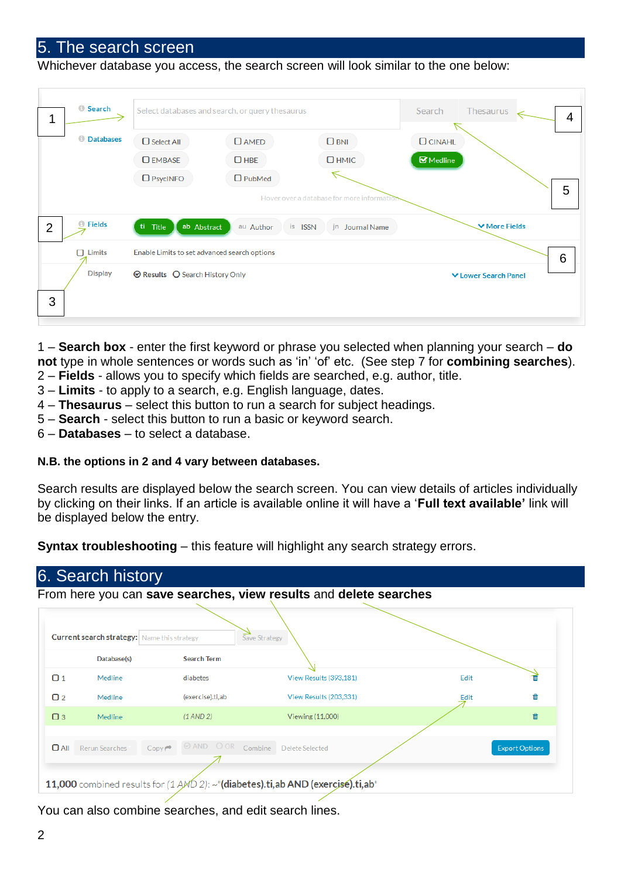#### 5. The search screen

Whichever database you access, the search screen will look similar to the one below:

| 1              | <b>O</b> Search                                               |                                 | Select databases and search, or query thesaurus | Search<br><b>Thesaurus</b><br>$\overline{4}$ |                                  |  |
|----------------|---------------------------------------------------------------|---------------------------------|-------------------------------------------------|----------------------------------------------|----------------------------------|--|
|                | <b><i>O</i></b> Databases                                     | $\Box$ Select All               | $D$ AMED                                        | $\Box$ BNI                                   | $O$ CINAHL                       |  |
|                |                                                               | <b>O</b> EMBASE                 | $\Box$ HBE                                      | $D$ HMIC                                     | $\blacksquare$ Medline           |  |
|                |                                                               | $\Box$ PsycINFO                 | $\Box$ PubMed                                   |                                              |                                  |  |
|                |                                                               |                                 |                                                 | Hover over a database for more information   | 5                                |  |
| $\overline{2}$ | <b>O</b> Fields                                               | ti Title<br>ab Abstract         | au Author                                       | is ISSN<br>jn Journal Name                   | <b>▼ More Fields</b>             |  |
|                | $\Box$ Limits<br>Enable Limits to set advanced search options |                                 |                                                 |                                              |                                  |  |
| 3              | <b>Display</b>                                                | ◎ Results ○ Search History Only |                                                 |                                              | 6<br><b>▼ Lower Search Panel</b> |  |
|                |                                                               |                                 |                                                 |                                              |                                  |  |

1 – **Search box** - enter the first keyword or phrase you selected when planning your search – **do not** type in whole sentences or words such as 'in' 'of' etc. (See step 7 for **combining searches**).

- 2 **Fields** allows you to specify which fields are searched, e.g. author, title.
- 3 **Limits** to apply to a search, e.g. English language, dates.
- 4 **Thesaurus** select this button to run a search for subject headings.
- 5 **Search** select this button to run a basic or keyword search.
- 6 **Databases** to select a database.

#### **N.B. the options in 2 and 4 vary between databases.**

Search results are displayed below the search screen. You can view details of articles individually by clicking on their links. If an article is available online it will have a '**Full text available'** link will be displayed below the entry.

**Syntax troubleshooting** – this feature will highlight any search strategy errors.

|          | <b>Current search strategy:</b>   Name this strategy<br>Database(s) | <b>Search Term</b>                                      | Save Strategy          |      |                       |
|----------|---------------------------------------------------------------------|---------------------------------------------------------|------------------------|------|-----------------------|
| $\Box$ 1 | Medline                                                             | diabetes                                                | View Results (393,181) | Edit | m                     |
| $\Box$ 2 | Medline                                                             | (exercise).ti,ab                                        | View Results (203,331) | Edit | 血                     |
| $\Box$ 3 | Medline                                                             | $(1$ AND $2)$                                           | Viewing (11,000)       |      | 面                     |
| $D$ All  | <b>Rerun Searches</b>                                               | @ AND OOR Combine Delete Selected<br>$Copy \rightarrow$ |                        |      | <b>Export Options</b> |

You can also combine searches, and edit search lines.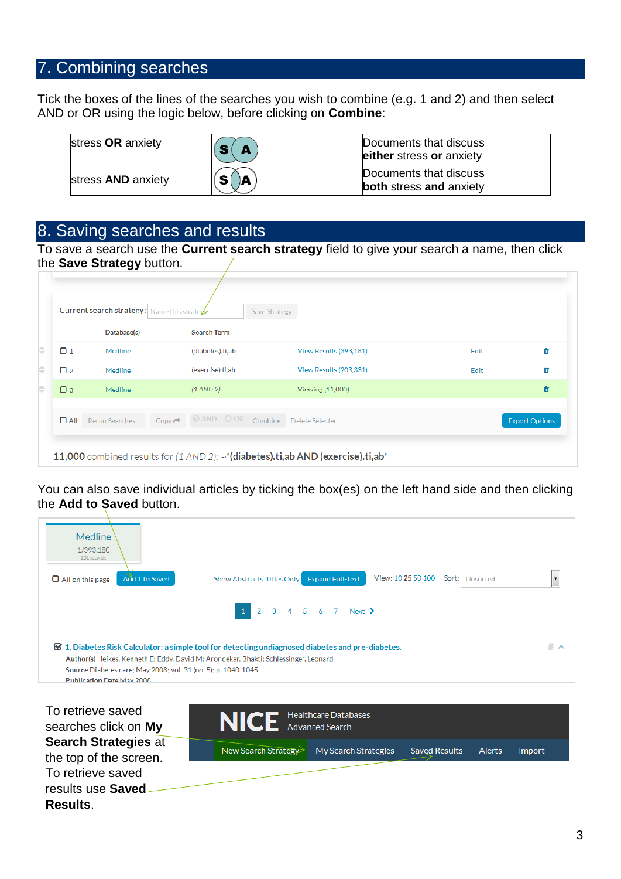## 7. Combining searches

Tick the boxes of the lines of the searches you wish to combine (e.g. 1 and 2) and then select AND or OR using the logic below, before clicking on **Combine**:

| stress OR anxiety         | $\bullet$ | Documents that discuss<br>either stress or anxiety       |
|---------------------------|-----------|----------------------------------------------------------|
| stress <b>AND</b> anxiety | A<br>S    | Documents that discuss<br><b>both</b> stress and anxiety |

#### 8. Saving searches and results

To save a search use the **Current search strategy** field to give your search a name, then click the **Save Strategy** button.

| Current search strategy:   Name this strate<br>Save Strategy |                       |                    |                      |  |                         |      |                       |
|--------------------------------------------------------------|-----------------------|--------------------|----------------------|--|-------------------------|------|-----------------------|
|                                                              | Database(s)           |                    | <b>Search Term</b>   |  |                         |      |                       |
| $\Box$ 1                                                     | Medline               |                    | (diabetes).ti,ab     |  | View Results (393,181)  | Edit | 齒                     |
| $\Box$ 2                                                     | Medline               |                    | (exercise).ti,ab     |  | View Results (203,331)  | Edit | 齒                     |
| $\Box$ 3                                                     | <b>Medline</b>        |                    | $(1 \text{ AND } 2)$ |  | Viewing (11,000)        |      | 面                     |
| $\Box$ All                                                   | <b>Rerun Searches</b> | $Copy \rightarrow$ | <b>OAND OOR</b>      |  | Combine Delete Selected |      | <b>Export Options</b> |

You can also save individual articles by ticking the box(es) on the left hand side and then clicking the **Add to Saved** button.

| Medline<br>1/393,180<br>1.51 seconds                                                              |                                                                                                             |                          |
|---------------------------------------------------------------------------------------------------|-------------------------------------------------------------------------------------------------------------|--------------------------|
| Add 1 to Saved<br>$\Box$ All on this page                                                         | View: 10 25 50 100<br>Sort:<br><b>Expand Full-Text</b><br>Show Abstracts Titles Only<br>Unsorted            | $\overline{\phantom{0}}$ |
|                                                                                                   | 1 2 3 4 5 6 7 Next >                                                                                        |                          |
|                                                                                                   | $\boxtimes$ 1. Diabetes Risk Calculator: a simple tool for detecting undiagnosed diabetes and pre-diabetes. | $\Box$ $\land$           |
|                                                                                                   | Author(s) Heikes, Kenneth E; Eddy, David M; Arondekar, Bhakti; Schlessinger, Leonard                        |                          |
| Source Diabetes care; May 2008; vol. 31 (no. 5); p. 1040-1045<br><b>Publication Date May 2008</b> |                                                                                                             |                          |
|                                                                                                   |                                                                                                             |                          |

To retrieve saved searches click on **My Search Strategies** at the top of the screen. To retrieve saved results use **Saved Results**.